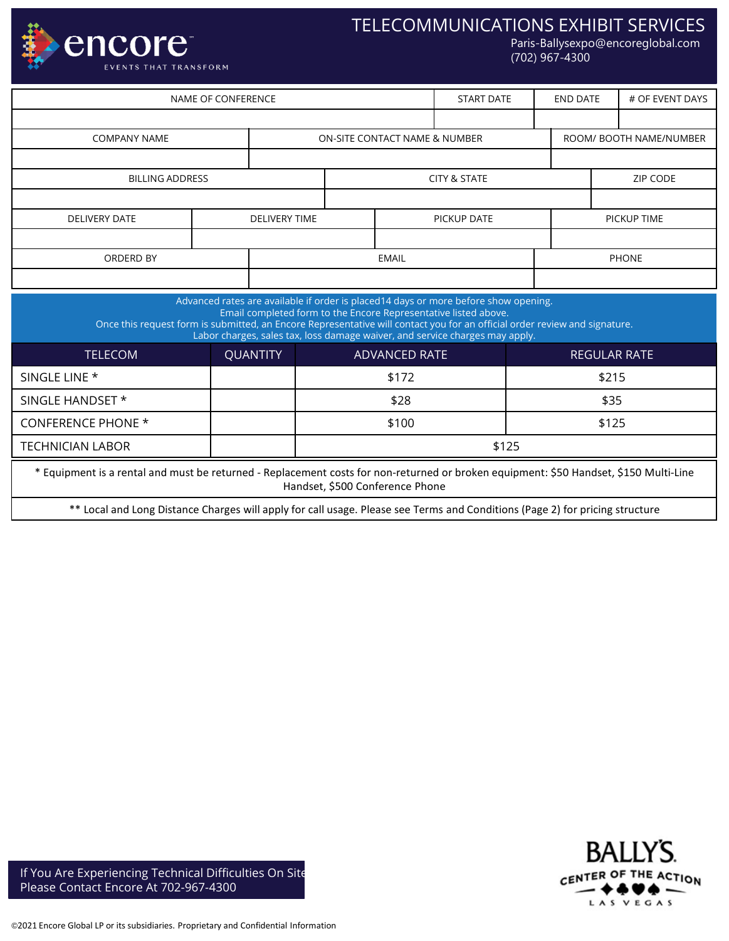

# TELECOMMUNICATIONS EXHIBIT SERVICES

Paris-Ballysexpo@encoreglobal.com (702) 967-4300

| NAME OF CONFERENCE  |                        |                      |              |                               |  | <b>START DATE</b> | END DATE                |             | # OF EVENT DAYS |  |
|---------------------|------------------------|----------------------|--------------|-------------------------------|--|-------------------|-------------------------|-------------|-----------------|--|
|                     |                        |                      |              |                               |  |                   |                         |             |                 |  |
| <b>COMPANY NAME</b> |                        |                      |              | ON-SITE CONTACT NAME & NUMBER |  |                   | ROOM/ BOOTH NAME/NUMBER |             |                 |  |
|                     |                        |                      |              |                               |  |                   |                         |             |                 |  |
|                     | <b>BILLING ADDRESS</b> |                      |              | <b>CITY &amp; STATE</b>       |  |                   |                         | ZIP CODE    |                 |  |
|                     |                        |                      |              |                               |  |                   |                         |             |                 |  |
|                     | <b>DELIVERY DATE</b>   | <b>DELIVERY TIME</b> |              |                               |  | PICKUP DATE       |                         | PICKUP TIME |                 |  |
|                     |                        |                      |              |                               |  |                   |                         |             |                 |  |
| ORDERD BY           |                        |                      | <b>EMAIL</b> |                               |  |                   |                         |             | <b>PHONE</b>    |  |
|                     |                        |                      |              |                               |  |                   |                         |             |                 |  |

| Advanced rates are available if order is placed14 days or more before show opening.<br>Email completed form to the Encore Representative listed above.<br>Once this request form is submitted, an Encore Representative will contact you for an official order review and signature.<br>Labor charges, sales tax, loss damage waiver, and service charges may apply. |                 |                      |                     |  |  |  |  |  |  |
|----------------------------------------------------------------------------------------------------------------------------------------------------------------------------------------------------------------------------------------------------------------------------------------------------------------------------------------------------------------------|-----------------|----------------------|---------------------|--|--|--|--|--|--|
| <b>TELECOM</b>                                                                                                                                                                                                                                                                                                                                                       | <b>QUANTITY</b> | <b>ADVANCED RATE</b> | <b>REGULAR RATE</b> |  |  |  |  |  |  |
| SINGLE LINE *                                                                                                                                                                                                                                                                                                                                                        |                 | \$172                | \$215               |  |  |  |  |  |  |
| SINGLE HANDSET *                                                                                                                                                                                                                                                                                                                                                     |                 | \$28                 | \$35                |  |  |  |  |  |  |
| <b>CONFERENCE PHONE *</b>                                                                                                                                                                                                                                                                                                                                            |                 | \$100                | \$125               |  |  |  |  |  |  |
| <b>TECHNICIAN LABOR</b>                                                                                                                                                                                                                                                                                                                                              |                 | \$125                |                     |  |  |  |  |  |  |
| * Equipment is a rental and must be returned - Replacement costs for non-returned or broken equipment: \$50 Handset, \$150 Multi-Line<br>Handset, \$500 Conference Phone                                                                                                                                                                                             |                 |                      |                     |  |  |  |  |  |  |
| ** Local and Long Distance Charges will apply for call usage. Please see Terms and Conditions (Page 2) for pricing structure                                                                                                                                                                                                                                         |                 |                      |                     |  |  |  |  |  |  |



If You Are Experiencing Technical Difficulties On Site Please Contact Encore At 702-967-4300